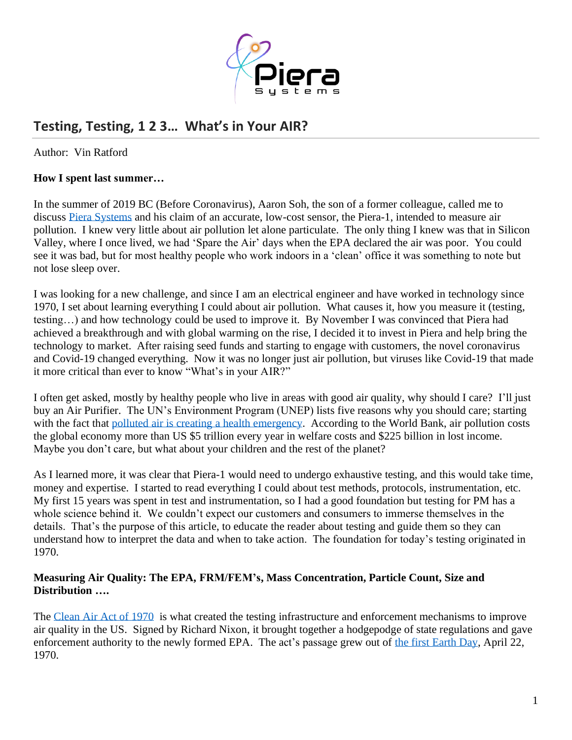

# **Testing, Testing, 1 2 3… What's in Your AIR?**

Author: Vin Ratford

### **How I spent last summer…**

In the summer of 2019 BC (Before Coronavirus), Aaron Soh, the son of a former colleague, called me to discuss [Piera Systems](http://www.pierasystems.com/) and his claim of an accurate, low-cost sensor, the Piera-1, intended to measure air pollution. I knew very little about air pollution let alone particulate. The only thing I knew was that in Silicon Valley, where I once lived, we had 'Spare the Air' days when the EPA declared the air was poor. You could see it was bad, but for most healthy people who work indoors in a 'clean' office it was something to note but not lose sleep over.

I was looking for a new challenge, and since I am an electrical engineer and have worked in technology since 1970, I set about learning everything I could about air pollution. What causes it, how you measure it (testing, testing…) and how technology could be used to improve it. By November I was convinced that Piera had achieved a breakthrough and with global warming on the rise, I decided it to invest in Piera and help bring the technology to market. After raising seed funds and starting to engage with customers, the novel coronavirus and Covid-19 changed everything. Now it was no longer just air pollution, but viruses like Covid-19 that made it more critical than ever to know "What's in your AIR?"

I often get asked, mostly by healthy people who live in areas with good air quality, why should I care? I'll just buy an Air Purifier. The UN's Environment Program (UNEP) lists five reasons why you should care; starting with the fact that [polluted air is creating a health emergency.](https://www.unenvironment.org/news-and-stories/story/five-reasons-you-should-care-about-air-pollution) According to the World Bank, air pollution costs the global economy more than US \$5 trillion every year in welfare costs and \$225 billion in lost income. Maybe you don't care, but what about your children and the rest of the planet?

As I learned more, it was clear that Piera-1 would need to undergo exhaustive testing, and this would take time, money and expertise. I started to read everything I could about test methods, protocols, instrumentation, etc. My first 15 years was spent in test and instrumentation, so I had a good foundation but testing for PM has a whole science behind it. We couldn't expect our customers and consumers to immerse themselves in the details. That's the purpose of this article, to educate the reader about testing and guide them so they can understand how to interpret the data and when to take action. The foundation for today's testing originated in 1970.

#### **Measuring Air Quality: The EPA, FRM/FEM's, Mass Concentration, Particle Count, Size and Distribution ….**

The [Clean Air Act of 1970](https://www.epa.gov/clean-air-act-overview/evolution-clean-air-act) is what created the testing infrastructure and enforcement mechanisms to improve air quality in the US. Signed by Richard Nixon, it brought together a hodgepodge of state regulations and gave enforcement authority to the newly formed EPA. The act's passage grew out of [the first Earth Day,](https://www.history.com/this-day-in-history/the-first-earth-day) April 22, 1970.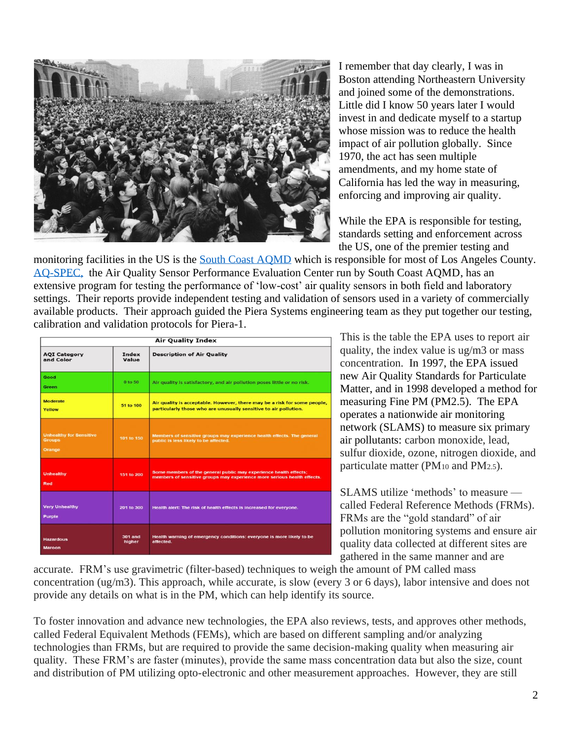

I remember that day clearly, I was in Boston attending Northeastern University and joined some of the demonstrations. Little did I know 50 years later I would invest in and dedicate myself to a startup whose mission was to reduce the health impact of air pollution globally. Since 1970, the act has seen multiple amendments, and my home state of California has led the way in measuring, enforcing and improving air quality.

While the EPA is responsible for testing, standards setting and enforcement across the US, one of the premier testing and

monitoring facilities in the US is the [South Coast AQMD](http://www.aqmd.gov/) which is responsible for most of Los Angeles County. [AQ-SPEC,](http://www.aqmd.gov/aq-spec) the Air Quality Sensor Performance Evaluation Center run by South Coast AQMD, has an extensive program for testing the performance of 'low-cost' air quality sensors in both field and laboratory settings. Their reports provide independent testing and validation of sensors used in a variety of commercially available products. Their approach guided the Piera Systems engineering team as they put together our testing, calibration and validation protocols for Piera-1.

| <b>Air Quality Index</b>                                  |                          |                                                                                                                                              |
|-----------------------------------------------------------|--------------------------|----------------------------------------------------------------------------------------------------------------------------------------------|
| <b>AQI Category</b><br>and Color                          | Index<br>Value           | <b>Description of Air Quality</b>                                                                                                            |
| Good<br>Green                                             | $0$ to $50$              | Air quality is satisfactory, and air pollution poses little or no risk.                                                                      |
| <b>Moderate</b><br>Yellow                                 | 51 to 100                | Air quality is acceptable. However, there may be a risk for some people,<br>particularly those who are unusually sensitive to air pollution. |
| <b>Unhealthy for Sensitive</b><br><b>Groups</b><br>Orange | 101 to 150               | Members of sensitive groups may experience health effects. The general<br>public is less likely to be affected.                              |
| <b>Unhealthy</b><br><b>Red</b>                            | 151 to 200               | Some members of the general public may experience health effects;<br>members of sensitive groups may experience more serious health effects. |
| <b>Very Unhealthy</b><br><b>Purple</b>                    | 201 to 300               | Health alert: The risk of health effects is increased for everyone.                                                                          |
| <b>Hazardous</b><br><b>Maroon</b>                         | <b>301 and</b><br>higher | Health warning of emergency conditions: everyone is more likely to be<br>affected.                                                           |

This is the table the EPA uses to report air quality, the index value is ug/m3 or mass concentration. In 1997, the EPA issued new Air Quality Standards for Particulate Matter, and in 1998 developed a method for measuring Fine PM (PM2.5). The EPA operates a nationwide air monitoring network (SLAMS) to measure six primary air pollutants: carbon monoxide, lead, sulfur dioxide, ozone, nitrogen dioxide, and particulate matter (PM<sup>10</sup> and PM2.5).

SLAMS utilize 'methods' to measure called Federal Reference Methods (FRMs). FRMs are the "gold standard" of air pollution monitoring systems and ensure air quality data collected at different sites are gathered in the same manner and are

accurate. FRM's use gravimetric (filter-based) techniques to weigh the amount of PM called mass concentration (ug/m3). This approach, while accurate, is slow (every 3 or 6 days), labor intensive and does not provide any details on what is in the PM, which can help identify its source.

To foster innovation and advance new technologies, the EPA also reviews, tests, and approves other methods, called Federal Equivalent Methods (FEMs), which are based on different sampling and/or analyzing technologies than FRMs, but are required to provide the same decision-making quality when measuring air quality. These FRM's are faster (minutes), provide the same mass concentration data but also the size, count and distribution of PM utilizing opto-electronic and other measurement approaches. However, they are still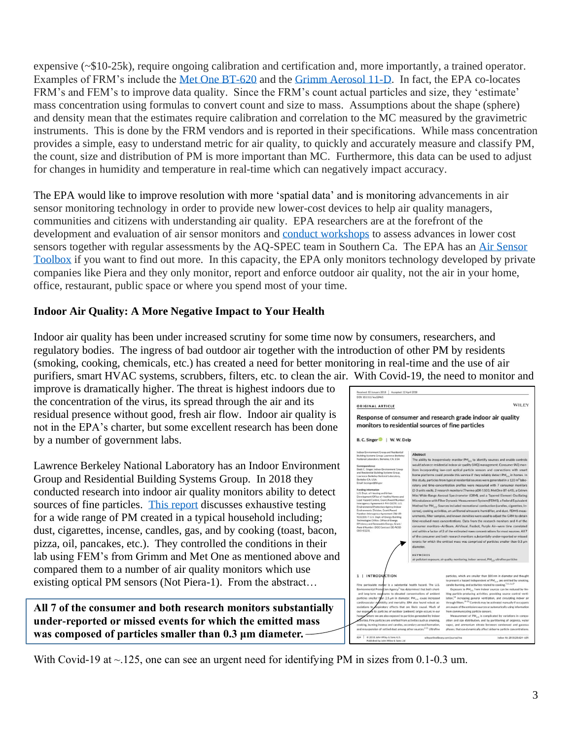expensive (~\$10-25k), require ongoing calibration and certification and, more importantly, a trained operator. Examples of FRM's include the Met [One BT-620](https://metone.com/products/bt-620-bench-top-particle-counter/) and the [Grimm Aerosol 11-D.](https://www.grimm-aerosol.com/products-en/indoor-air-quality/the-dust-decoder/11-d/) In fact, the EPA co-locates FRM's and FEM's to improve data quality. Since the FRM's count actual particles and size, they 'estimate' mass concentration using formulas to convert count and size to mass. Assumptions about the shape (sphere) and density mean that the estimates require calibration and correlation to the MC measured by the gravimetric instruments. This is done by the FRM vendors and is reported in their specifications. While mass concentration provides a simple, easy to understand metric for air quality, to quickly and accurately measure and classify PM, the count, size and distribution of PM is more important than MC. Furthermore, this data can be used to adjust for changes in humidity and temperature in real-time which can negatively impact accuracy.

The EPA would like to improve resolution with more 'spatial data' and is monitoring advancements in air sensor monitoring technology in order to provide new lower-cost devices to help air quality managers, communities and citizens with understanding air quality. EPA researchers are at the forefront of the development and evaluation of air sensor monitors and [conduct workshops](https://www.sciencedirect.com/science/article/pii/S2590162119300346?via%3Dihub) to assess advances in lower cost sensors together with regular assessments by the AQ-SPEC team in Southern Ca. The EPA has an [Air Sensor](https://www.epa.gov/air-sensor-toolbox)  [Toolbox](https://www.epa.gov/air-sensor-toolbox) if you want to find out more. In this capacity, the EPA only monitors technology developed by private companies like Piera and they only monitor, report and enforce outdoor air quality, not the air in your home, office, restaurant, public space or where you spend most of your time.

## **Indoor Air Quality: A More Negative Impact to Your Health**

Indoor air quality has been under increased scrutiny for some time now by consumers, researchers, and regulatory bodies. The ingress of bad outdoor air together with the introduction of other PM by residents (smoking, cooking, chemicals, etc.) has created a need for better monitoring in real-time and the use of air purifiers, smart HVAC systems, scrubbers, filters, etc. to clean the air. With Covid-19, the need to monitor and

improve is dramatically higher. The threat is highest indoors due to the concentration of the virus, its spread through the air and its residual presence without good, fresh air flow. Indoor air quality is not in the EPA's charter, but some excellent research has been done by a number of government labs.

Lawrence Berkeley National Laboratory has an Indoor Environment Group and Residential Building Systems Group. In 2018 they conducted research into indoor air quality monitors ability to detect sources of fine particles. [This report](https://eta.lbl.gov/publications/performance-low-cost-indoor-air) discusses exhaustive testing for a wide range of PM created in a typical household including; dust, cigarettes, incense, candles, gas, and by cooking (toast, bacon, pizza, oil, pancakes, etc.). They controlled the conditions in their lab using FEM's from Grimm and Met One as mentioned above and compared them to a number of air quality monitors which use existing optical PM sensors (Not Piera-1). From the abstract…

**All 7 of the consumer and both research monitors substantially under-reported or missed events for which the emitted mass was composed of particles smaller than 0.3 μm diameter.** 



With Covid-19 at ~.125, one can see an urgent need for identifying PM in sizes from 0.1-0.3 um.